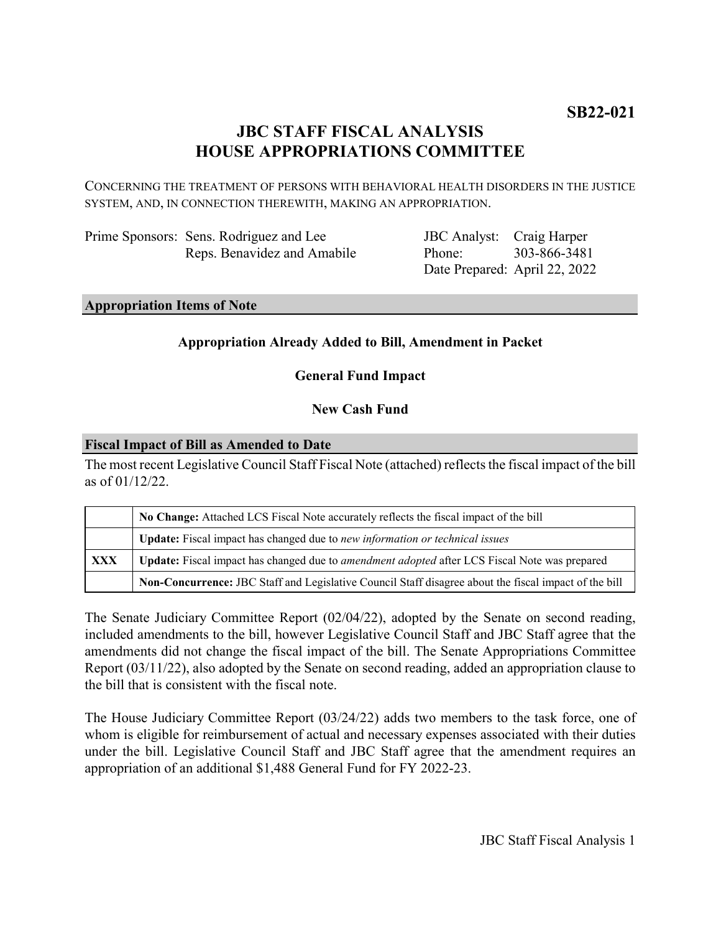# **JBC STAFF FISCAL ANALYSIS HOUSE APPROPRIATIONS COMMITTEE**

CONCERNING THE TREATMENT OF PERSONS WITH BEHAVIORAL HEALTH DISORDERS IN THE JUSTICE SYSTEM, AND, IN CONNECTION THEREWITH, MAKING AN APPROPRIATION.

| Prime Sponsors: Sens. Rodriguez and Lee |
|-----------------------------------------|
| Reps. Benavidez and Amabile             |

JBC Analyst: Craig Harper Phone: Date Prepared: April 22, 2022 303-866-3481

#### **Appropriation Items of Note**

# **Appropriation Already Added to Bill, Amendment in Packet**

**General Fund Impact**

# **New Cash Fund**

#### **Fiscal Impact of Bill as Amended to Date**

The most recent Legislative Council Staff Fiscal Note (attached) reflects the fiscal impact of the bill as of 01/12/22.

|     | No Change: Attached LCS Fiscal Note accurately reflects the fiscal impact of the bill                 |  |
|-----|-------------------------------------------------------------------------------------------------------|--|
|     | Update: Fiscal impact has changed due to new information or technical issues                          |  |
| XXX | Update: Fiscal impact has changed due to <i>amendment adopted</i> after LCS Fiscal Note was prepared  |  |
|     | Non-Concurrence: JBC Staff and Legislative Council Staff disagree about the fiscal impact of the bill |  |

The Senate Judiciary Committee Report (02/04/22), adopted by the Senate on second reading, included amendments to the bill, however Legislative Council Staff and JBC Staff agree that the amendments did not change the fiscal impact of the bill. The Senate Appropriations Committee Report (03/11/22), also adopted by the Senate on second reading, added an appropriation clause to the bill that is consistent with the fiscal note.

The House Judiciary Committee Report (03/24/22) adds two members to the task force, one of whom is eligible for reimbursement of actual and necessary expenses associated with their duties under the bill. Legislative Council Staff and JBC Staff agree that the amendment requires an appropriation of an additional \$1,488 General Fund for FY 2022-23.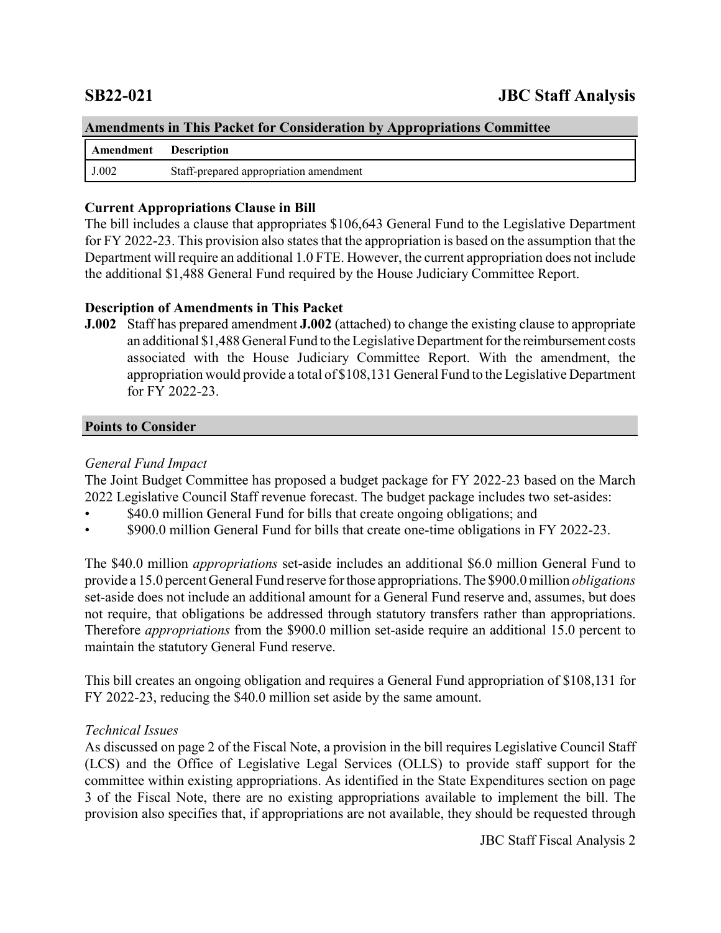| <b>Amendments in This Packet for Consideration by Appropriations Committee</b> |                                        |  |
|--------------------------------------------------------------------------------|----------------------------------------|--|
| Amendment Description                                                          |                                        |  |
| J.002                                                                          | Staff-prepared appropriation amendment |  |

# **Current Appropriations Clause in Bill**

The bill includes a clause that appropriates \$106,643 General Fund to the Legislative Department for FY 2022-23. This provision also states that the appropriation is based on the assumption that the Department will require an additional 1.0 FTE. However, the current appropriation does not include the additional \$1,488 General Fund required by the House Judiciary Committee Report.

# **Description of Amendments in This Packet**

**J.002** Staff has prepared amendment **J.002** (attached) to change the existing clause to appropriate an additional \$1,488 General Fund to the Legislative Department for the reimbursement costs associated with the House Judiciary Committee Report. With the amendment, the appropriation would provide a total of \$108,131 General Fund to the Legislative Department for FY 2022-23.

### **Points to Consider**

# *General Fund Impact*

The Joint Budget Committee has proposed a budget package for FY 2022-23 based on the March 2022 Legislative Council Staff revenue forecast. The budget package includes two set-asides:

- \$40.0 million General Fund for bills that create ongoing obligations; and
- \$900.0 million General Fund for bills that create one-time obligations in FY 2022-23.

The \$40.0 million *appropriations* set-aside includes an additional \$6.0 million General Fund to provide a 15.0 percent General Fund reserve for those appropriations. The \$900.0 million *obligations* set-aside does not include an additional amount for a General Fund reserve and, assumes, but does not require, that obligations be addressed through statutory transfers rather than appropriations. Therefore *appropriations* from the \$900.0 million set-aside require an additional 15.0 percent to maintain the statutory General Fund reserve.

This bill creates an ongoing obligation and requires a General Fund appropriation of \$108,131 for FY 2022-23, reducing the \$40.0 million set aside by the same amount.

### *Technical Issues*

As discussed on page 2 of the Fiscal Note, a provision in the bill requires Legislative Council Staff (LCS) and the Office of Legislative Legal Services (OLLS) to provide staff support for the committee within existing appropriations. As identified in the State Expenditures section on page 3 of the Fiscal Note, there are no existing appropriations available to implement the bill. The provision also specifies that, if appropriations are not available, they should be requested through